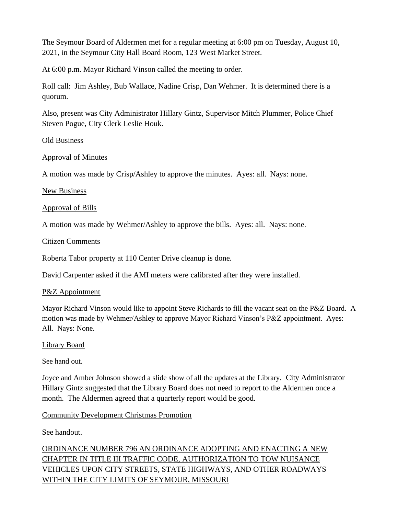The Seymour Board of Aldermen met for a regular meeting at 6:00 pm on Tuesday, August 10, 2021, in the Seymour City Hall Board Room, 123 West Market Street.

At 6:00 p.m. Mayor Richard Vinson called the meeting to order.

Roll call: Jim Ashley, Bub Wallace, Nadine Crisp, Dan Wehmer. It is determined there is a quorum.

Also, present was City Administrator Hillary Gintz, Supervisor Mitch Plummer, Police Chief Steven Pogue, City Clerk Leslie Houk.

#### Old Business

## Approval of Minutes

A motion was made by Crisp/Ashley to approve the minutes. Ayes: all. Nays: none.

## New Business

Approval of Bills

A motion was made by Wehmer/Ashley to approve the bills. Ayes: all. Nays: none.

#### Citizen Comments

Roberta Tabor property at 110 Center Drive cleanup is done.

David Carpenter asked if the AMI meters were calibrated after they were installed.

## P&Z Appointment

Mayor Richard Vinson would like to appoint Steve Richards to fill the vacant seat on the P&Z Board. A motion was made by Wehmer/Ashley to approve Mayor Richard Vinson's P&Z appointment. Ayes: All. Nays: None.

## Library Board

See hand out.

Joyce and Amber Johnson showed a slide show of all the updates at the Library. City Administrator Hillary Gintz suggested that the Library Board does not need to report to the Aldermen once a month. The Aldermen agreed that a quarterly report would be good.

## Community Development Christmas Promotion

See handout.

ORDINANCE NUMBER 796 AN ORDINANCE ADOPTING AND ENACTING A NEW CHAPTER IN TITLE III TRAFFIC CODE, AUTHORIZATION TO TOW NUISANCE VEHICLES UPON CITY STREETS, STATE HIGHWAYS, AND OTHER ROADWAYS WITHIN THE CITY LIMITS OF SEYMOUR, MISSOURI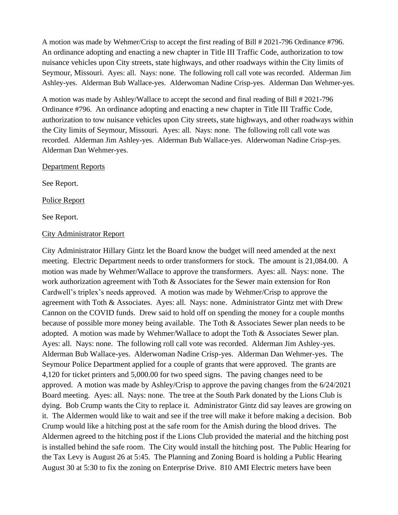A motion was made by Wehmer/Crisp to accept the first reading of Bill # 2021-796 Ordinance #796. An ordinance adopting and enacting a new chapter in Title III Traffic Code, authorization to tow nuisance vehicles upon City streets, state highways, and other roadways within the City limits of Seymour, Missouri. Ayes: all. Nays: none. The following roll call vote was recorded. Alderman Jim Ashley-yes. Alderman Bub Wallace-yes. Alderwoman Nadine Crisp-yes. Alderman Dan Wehmer-yes.

A motion was made by Ashley/Wallace to accept the second and final reading of Bill # 2021-796 Ordinance #796. An ordinance adopting and enacting a new chapter in Title III Traffic Code, authorization to tow nuisance vehicles upon City streets, state highways, and other roadways within the City limits of Seymour, Missouri. Ayes: all. Nays: none. The following roll call vote was recorded. Alderman Jim Ashley-yes. Alderman Bub Wallace-yes. Alderwoman Nadine Crisp-yes. Alderman Dan Wehmer-yes.

#### Department Reports

See Report.

Police Report

See Report.

#### City Administrator Report

City Administrator Hillary Gintz let the Board know the budget will need amended at the next meeting. Electric Department needs to order transformers for stock. The amount is 21,084.00. A motion was made by Wehmer/Wallace to approve the transformers. Ayes: all. Nays: none. The work authorization agreement with Toth & Associates for the Sewer main extension for Ron Cardwell's triplex's needs approved. A motion was made by Wehmer/Crisp to approve the agreement with Toth & Associates. Ayes: all. Nays: none. Administrator Gintz met with Drew Cannon on the COVID funds. Drew said to hold off on spending the money for a couple months because of possible more money being available. The Toth & Associates Sewer plan needs to be adopted. A motion was made by Wehmer/Wallace to adopt the Toth & Associates Sewer plan. Ayes: all. Nays: none. The following roll call vote was recorded. Alderman Jim Ashley-yes. Alderman Bub Wallace-yes. Alderwoman Nadine Crisp-yes. Alderman Dan Wehmer-yes. The Seymour Police Department applied for a couple of grants that were approved. The grants are 4,120 for ticket printers and 5,000.00 for two speed signs. The paving changes need to be approved. A motion was made by Ashley/Crisp to approve the paving changes from the 6/24/2021 Board meeting. Ayes: all. Nays: none. The tree at the South Park donated by the Lions Club is dying. Bob Crump wants the City to replace it. Administrator Gintz did say leaves are growing on it. The Aldermen would like to wait and see if the tree will make it before making a decision. Bob Crump would like a hitching post at the safe room for the Amish during the blood drives. The Aldermen agreed to the hitching post if the Lions Club provided the material and the hitching post is installed behind the safe room. The City would install the hitching post. The Public Hearing for the Tax Levy is August 26 at 5:45. The Planning and Zoning Board is holding a Public Hearing August 30 at 5:30 to fix the zoning on Enterprise Drive. 810 AMI Electric meters have been